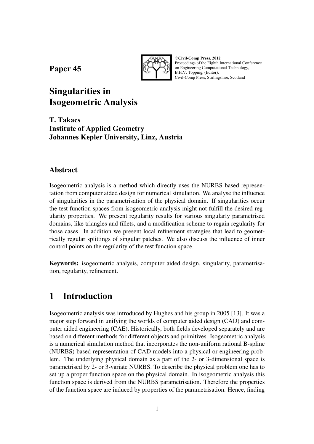**Paper 45** 



©**Civil-Comp Press, 2012**  Proceedings of the Eighth International Conference on Engineering Computational Technology, B.H.V. Topping, (Editor), Civil-Comp Press, Stirlingshire, Scotland

# **Singularities in Isogeometric Analysis**

**T. Takacs Institute of Applied Geometry Johannes Kepler University, Linz, Austria** 

### **Abstract**

Isogeometric analysis is a method which directly uses the NURBS based representation from computer aided design for numerical simulation. We analyse the influence of singularities in the parametrisation of the physical domain. If singularities occur the test function spaces from isogeometric analysis might not fulfill the desired regularity properties. We present regularity results for various singularly parametrised domains, like triangles and fillets, and a modification scheme to regain regularity for those cases. In addition we present local refinement strategies that lead to geometrically regular splittings of singular patches. We also discuss the influence of inner control points on the regularity of the test function space.

**Keywords:** isogeometric analysis, computer aided design, singularity, parametrisation, regularity, refinement.

# **1 Introduction**

Isogeometric analysis was introduced by Hughes and his group in 2005 [13]. It was a major step forward in unifying the worlds of computer aided design (CAD) and computer aided engineering (CAE). Historically, both fields developed separately and are based on different methods for different objects and primitives. Isogeometric analysis is a numerical simulation method that incorporates the non-uniform rational B-spline (NURBS) based representation of CAD models into a physical or engineering problem. The underlying physical domain as a part of the 2- or 3-dimensional space is parametrised by 2- or 3-variate NURBS. To describe the physical problem one has to set up a proper function space on the physical domain. In isogeometric analysis this function space is derived from the NURBS parametrisation. Therefore the properties of the function space are induced by properties of the parametrisation. Hence, finding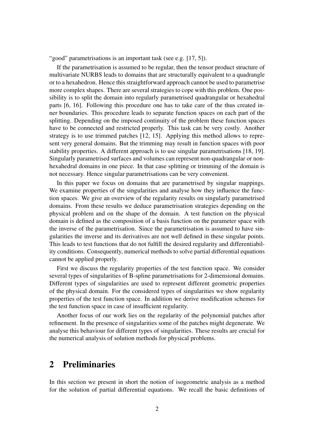"good" parametrisations is an important task (see e.g. [17, 5]).

If the parametrisation is assumed to be regular, then the tensor product structure of multivariate NURBS leads to domains that are structurally equivalent to a quadrangle or to a hexahedron. Hence this straightforward approach cannot be used to parametrise more complex shapes. There are several strategies to cope with this problem. One possibility is to split the domain into regularly parametrised quadrangular or hexahedral parts [6, 16]. Following this procedure one has to take care of the thus created inner boundaries. This procedure leads to separate function spaces on each part of the splitting. Depending on the imposed continuity of the problem these function spaces have to be connected and restricted properly. This task can be very costly. Another strategy is to use trimmed patches [12, 15]. Applying this method allows to represent very general domains. But the trimming may result in function spaces with poor stability properties. A different approach is to use singular parametrisations [18, 19]. Singularly parametrised surfaces and volumes can represent non-quadrangular or nonhexahedral domains in one piece. In that case splitting or trimming of the domain is not necessary. Hence singular parametrisations can be very convenient.

In this paper we focus on domains that are parametrised by singular mappings. We examine properties of the singularities and analyse how they influence the function spaces. We give an overview of the regularity results on singularly parametrised domains. From these results we deduce parametrisation strategies depending on the physical problem and on the shape of the domain. A test function on the physical domain is defined as the composition of a basis function on the parameter space with the inverse of the parametrisation. Since the parametrisation is assumed to have singularities the inverse and its derivatives are not well defined in these singular points. This leads to test functions that do not fulfill the desired regularity and differentiability conditions. Consequently, numerical methods to solve partial differential equations cannot be applied properly.

First we discuss the regularity properties of the test function space. We consider several types of singularities of B-spline parametrisations for 2-dimensional domains. Different types of singularities are used to represent different geometric properties of the physical domain. For the considered types of singularities we show regularity properties of the test function space. In addition we derive modification schemes for the test function space in case of insufficient regularity.

Another focus of our work lies on the regularity of the polynomial patches after refinement. In the presence of singularities some of the patches might degenerate. We analyse this behaviour for different types of singularities. These results are crucial for the numerical analysis of solution methods for physical problems.

### **2 Preliminaries**

In this section we present in short the notion of isogeometric analysis as a method for the solution of partial differential equations. We recall the basic definitions of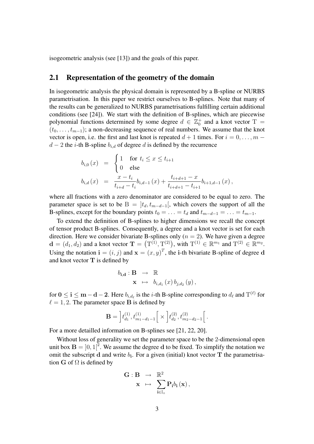isogeometric analysis (see [13]) and the goals of this paper.

#### **2.1 Representation of the geometry of the domain**

In isogeometric analysis the physical domain is represented by a B-spline or NURBS parametrisation. In this paper we restrict ourselves to B-splines. Note that many of the results can be generalized to NURBS parametrisations fulfilling certain additional conditions (see [24]). We start with the definition of B-splines, which are piecewise polynomial functions determined by some degree  $d \in \mathbb{Z}_0^+$  and a knot vector T =  $(t_0, \ldots, t_{m-1})$ ; a non-decreasing sequence of real numbers. We assume that the knot vector is open, i.e. the first and last knot is repeated  $d + 1$  times. For  $i = 0, \ldots, m - 1$  $d-2$  the *i*-th B-spline  $b_{i,d}$  of degree d is defined by the recurrence

$$
b_{i,0}(x) = \begin{cases} 1 & \text{for } t_i \leq x \leq t_{i+1} \\ 0 & \text{else} \end{cases}
$$
  

$$
b_{i,d}(x) = \frac{x - t_i}{t_{i+d} - t_i} b_{i,d-1}(x) + \frac{t_{i+d+1} - x}{t_{i+d+1} - t_{i+1}} b_{i+1,d-1}(x),
$$

where all fractions with a zero denominator are considered to be equal to zero. The parameter space is set to be B =  $|t_d, t_{m-d-1}|$ , which covers the support of all the B-splines, except for the boundary points  $t_0 = \ldots = t_d$  and  $t_{m-d-1} = \ldots = t_{m-1}$ .

To extend the definition of B-splines to higher dimensions we recall the concept of tensor product B-splines. Consequently, a degree and a knot vector is set for each direction. Here we consider bivariate B-splines only  $(n = 2)$ . We have given a degree  $\mathbf{d} = (d_1, d_2)$  and a knot vector  $\mathbf{T} = (\mathbf{T}^{(1)}, \mathbf{T}^{(2)})$ , with  $\mathbf{T}^{(1)} \in \mathbb{R}^{m_1}$  and  $\mathbf{T}^{(2)} \in \mathbb{R}^{m_2}$ . Using the notation  $\mathbf{i} = (i, j)$  and  $\mathbf{x} = (x, y)^T$ , the i-th bivariate B-spline of degree d and knot vector  $T$  is defined by

$$
b_{\mathbf{i},\mathbf{d}} : \mathbf{B} \rightarrow \mathbb{R}
$$
  

$$
\mathbf{x} \mapsto b_{i,d_1}(x) b_{j,d_2}(y),
$$

for  $0 \le i \le m-d-2$ . Here  $b_{i,d_\ell}$  is the *i*-th B-spline corresponding to  $d_\ell$  and  $T^{(\ell)}$  for  $\ell = 1, 2$ . The parameter space **B** is defined by

$$
\mathbf{B} = \left[ t_{d_1}^{(1)}, t_{m_1-d_1-1}^{(1)} \right] \times \left[ t_{d_2}^{(2)}, t_{m_2-d_2-1}^{(2)} \right].
$$

For a more detailled information on B-splines see [21, 22, 20].

Without loss of generality we set the parameter space to be the 2-dimensional open unit box  $\mathbf{B} = \begin{bmatrix} 0, 1 \end{bmatrix}^2$ . We assume the degree d to be fixed. To simplify the notation we omit the subscript  $d$  and write  $b_i$ . For a given (initial) knot vector  $T$  the parametrisation G of  $\Omega$  is defined by

$$
\begin{array}{ccc} \mathbf{G}:\mathbf{B} & \rightarrow & \mathbb{R}^2 \\ \mathbf{x} & \mapsto & \displaystyle\sum_{\mathbf{i}\in\mathbb{I}_{\circ}} \mathbf{P}_{\mathbf{i}} b_{\mathbf{i}}\left(\mathbf{x}\right), \end{array}
$$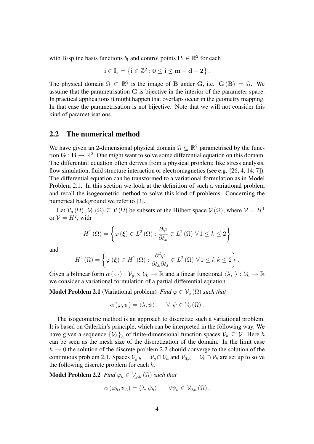with B-spline basis functions  $b_i$  and control points  $P_i \in \mathbb{R}^2$  for each

$$
i\in\mathbb{I}_{\circ}=\left\{ i\in\mathbb{Z}^{2}:0\leq i\leq m-d-2\right\} .
$$

The physical domain  $\Omega \subset \mathbb{R}^2$  is the image of B under G, i.e.  $G(B) = \Omega$ . We assume that the parametrisation G is bijective in the interior of the parameter space. In practical applications it might happen that overlaps occur in the geometry mapping. In that case the parametrisation is not bijective. Note that we will not consider this kind of parametrisations.

#### **2.2 The numerical method**

We have given an 2-dimensional physical domain  $\Omega \subseteq \mathbb{R}^2$  parametrised by the function  $G : B \to \mathbb{R}^2$ . One might want to solve some differential equation on this domain. The differentail equation often derives from a physical problem; like stress analysis, flow simulation, fluid structure interaction or electromagnetics (see e.g. [26, 4, 14, 7]). The differential equation can be transformed to a variational formulation as in Model Problem 2.1. In this section we look at the definition of such a variational problem and recall the isogeometric method to solve this kind of problems. Concerning the numerical background we refer to [3].

Let  $\mathcal{V}_q(\Omega)$ ,  $\mathcal{V}_0(\Omega) \subseteq \mathcal{V}(\Omega)$  be subsets of the Hilbert space  $\mathcal{V}(\Omega)$ ; where  $\mathcal{V} = H^1$ or  $V = H^2$ , with

$$
H^{1}(\Omega) = \left\{ \varphi(\boldsymbol{\xi}) \in L^{2}(\Omega) : \frac{\partial \varphi}{\partial \xi_{k}} \in L^{2}(\Omega) \,\,\forall \, 1 \leq k \leq 2 \right\}
$$

and

$$
H^{2}(\Omega) = \left\{ \varphi\left(\boldsymbol{\xi}\right) \in H^{1}\left(\Omega\right) : \frac{\partial^{2} \varphi}{\partial \xi_{k} \partial \xi_{l}} \in L^{2}\left(\Omega\right) \,\forall\, 1 \leq l, k \leq 2 \right\}
$$

.

Given a bilinear form  $\alpha(\cdot, \cdot): \mathcal{V}_q \times \mathcal{V}_0 \to \mathbb{R}$  and a linear functional  $\langle \lambda, \cdot \rangle : \mathcal{V}_0 \to \mathbb{R}$ we consider a variational formulation of a partial differential equation.

**Model Problem 2.1** (Variational problem) *Find*  $\varphi \in V_q(\Omega)$  *such that* 

$$
\alpha(\varphi,\psi)=\langle \lambda,\psi\rangle \qquad \forall \psi\in \mathcal{V}_0(\Omega).
$$

The isogeometric method is an approach to discretize such a variational problem. It is based on Galerkin's principle, which can be interpreted in the following way. We have given a sequence  $\{\mathcal{V}_h\}_h$  of finite-dimensional function spaces  $\mathcal{V}_h \subseteq \mathcal{V}$ . Here h can be seen as the mesh size of the discretization of the domain. In the limit case  $h \rightarrow 0$  the solution of the discrete problem 2.2 should converge to the solution of the continuous problem 2.1. Spaces  $V_{g,h} = V_g \cap V_h$  and  $V_{0,h} = V_0 \cap V_h$  are set up to solve the following discrete problem for each  $h$ .

**Model Problem 2.2** *Find*  $\varphi_h \in \mathcal{V}_{q,h}(\Omega)$  *such that* 

$$
\alpha\left(\varphi_h,\psi_h\right)=\left\langle\lambda,\psi_h\right\rangle\qquad\forall\psi_h\in\mathcal{V}_{0,h}\left(\Omega\right).
$$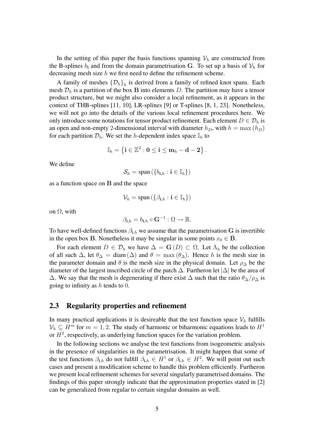In the setting of this paper the basis functions spanning  $V_h$  are constructed from the B-splines  $b_i$  and from the domain parametrisation G. To set up a basis of  $V_h$  for decreasing mesh size  $h$  we first need to define the refinement scheme.

A family of meshes  $\{D_h\}_h$  is derived from a family of refined knot spans. Each mesh  $\mathcal{D}_h$  is a partition of the box B into elements D. The partition may have a tensor product structure, but we might also consider a local refinement, as it appears in the context of THB-splines [11, 10], LR-splines [9] or T-splines [8, 1, 23]. Nonetheless, we will not go into the details of the various local refinement procedures here. We only introduce some notations for tensor product refinement. Each element  $D \in \mathcal{D}_h$  is an open and non-empty 2-dimensional interval with diameter  $h_D$ , with  $h = \max(h_D)$ for each partition  $\mathcal{D}_h$ . We set the h-dependent index space  $\mathbb{I}_h$  to

$$
\mathbb{I}_h=\left\{{\bf i}\in\mathbb{Z}^2:{\bf 0}\leq {\bf i}\leq {\bf m}_h-{\bf d}-{\bf 2}\right\}.
$$

We define

$$
\mathcal{S}_h = \text{span}\left(\{b_{\mathbf{i},h}: \mathbf{i} \in \mathbb{I}_h\}\right)
$$

as a function space on B and the space

$$
\mathcal{V}_h = \text{span}\left(\{\beta_{\mathbf{i},h}: \mathbf{i} \in \mathbb{I}_h\}\right)
$$

on  $\Omega$ , with

$$
\beta_{\mathbf{i},h} = b_{\mathbf{i},h} \circ \mathbf{G}^{-1} : \Omega \to \mathbb{R}.
$$

To have well-defined functions  $\beta_{i,h}$  we assume that the parametrisation G is invertible in the open box B. Nonetheless it may be singular in some points  $x_0 \in \mathbf{B}$ .

For each element  $D \in \mathcal{D}_h$  we have  $\Delta = \mathbf{G}(D) \subset \Omega$ . Let  $\Lambda_h$  be the collection of all such  $\Delta$ , let  $\theta_{\Delta} = \text{diam}(\Delta)$  and  $\theta = \max(\theta_{\Delta})$ . Hence h is the mesh size in the parameter domain and  $\theta$  is the mesh size in the physical domain. Let  $\rho_{\Delta}$  be the diameter of the largest inscribed circle of the patch  $\Delta$ . Furtheron let  $|\Delta|$  be the area of  $\Delta$ . We say that the mesh is degenerating if there exist  $\Delta$  such that the ratio  $\theta_{\Delta}/\rho_{\Delta}$  is going to infinity as  $h$  tends to 0.

#### **2.3 Regularity properties and refinement**

In many practical applications it is desireable that the test function space  $V<sub>h</sub>$  fulfills  $V_h \subseteq H^m$  for  $m = 1, 2$ . The study of harmonic or biharmonic equations leads to  $H^1$ or  $H^2$ , respectively, as underlying function spaces for the variation problem.

In the following sections we analyse the test functions from isogeometric analysis in the presence of singularities in the parametrisation. It might happen that some of the test functions  $\beta_{i,h}$  do not fulfill  $\beta_{i,h} \in H^1$  or  $\beta_{i,h} \in H^2$ . We will point out such cases and present a modification scheme to handle this problem efficiently. Furtheron we present local refinement schemes for several singularly parametrised domains. The findings of this paper strongly indicate that the approximation properties stated in [2] can be generalized from regular to certain singular domains as well.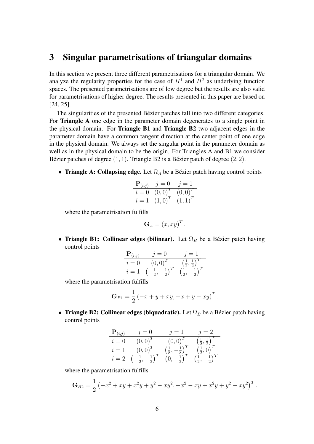### **3 Singular parametrisations of triangular domains**

In this section we present three different parametrisations for a triangular domain. We analyze the regularity properties for the case of  $H<sup>1</sup>$  and  $H<sup>2</sup>$  as underlying function spaces. The presented parametrisations are of low degree but the results are also valid for parametrisations of higher degree. The results presented in this paper are based on [24, 25].

The singularities of the presented Bézier patches fall into two different categories. For **Triangle A** one edge in the parameter domain degenerates to a single point in the physical domain. For **Triangle B1** and **Triangle B2** two adjacent edges in the parameter domain have a common tangent direction at the center point of one edge in the physical domain. We always set the singular point in the parameter domain as well as in the physical domain to be the origin. For Triangles A and B1 we consider Bézier patches of degree  $(1, 1)$ . Triangle B2 is a Bézier patch of degree  $(2, 2)$ .

• **Triangle A: Collapsing edge.** Let  $\Omega_A$  be a Bézier patch having control points

$$
\begin{array}{ll}\n\mathbf{P}_{(i,j)} & j = 0 \quad j = 1 \\
i = 0 \quad (0,0)^T \quad (0,0)^T \\
i = 1 \quad (1,0)^T \quad (1,1)^T\n\end{array}
$$

where the parametrisation fulfills

$$
\mathbf{G}_A = (x, xy)^T.
$$

• **Triangle B1: Collinear edges (bilinear).** Let  $\Omega_B$  be a Bézier patch having control points

$$
\begin{array}{ll}\n\mathbf{P}_{(i,j)} & j = 0 & j = 1 \\
\hline\n i = 0 & (0,0)^T & \left(\frac{1}{2}, \frac{1}{2}\right)^T \\
 i = 1 & \left(-\frac{1}{2}, -\frac{1}{2}\right)^T & \left(\frac{1}{2}, -\frac{1}{2}\right)^T\n\end{array}
$$

where the parametrisation fulfills

$$
\mathbf{G}_{B1} = \frac{1}{2} \left( -x + y + xy, -x + y - xy \right)^T.
$$

• **Triangle B2: Collinear edges (biquadratic).** Let  $\Omega_B$  be a Bézier patch having control points

$$
\begin{array}{ccc}\n\mathbf{P}_{(i,j)} & j = 0 & j = 1 & j = 2\\ \n\overline{i = 0} & (0,0)^T & (0,0)^T & \left(\frac{1}{2},\frac{1}{2}\right)^T\\ \n\overline{i = 1} & (0,0)^T & \left(\frac{1}{8},-\frac{1}{8}\right)^T & \left(\frac{1}{2},0\right)^T\\ \n\overline{i = 2} & \left(-\frac{1}{2},-\frac{1}{2}\right)^T & (0,-\frac{1}{2})^T & \left(\frac{1}{2},-\frac{1}{2}\right)^T\n\end{array}
$$

where the parametrisation fulfills

$$
\mathbf{G}_{B2} = \frac{1}{2} \left( -x^2 + xy + x^2y + y^2 - xy^2, -x^2 - xy + x^2y + y^2 - xy^2 \right)^T.
$$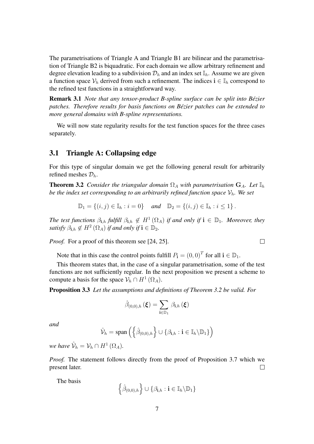The parametrisations of Triangle A and Triangle B1 are bilinear and the parametrisation of Triangle B2 is biquadratic. For each domain we allow arbitrary refinement and degree elevation leading to a subdivision  $\mathcal{D}_h$  and an index set  $\mathbb{I}_h$ . Assume we are given a function space  $V_h$  derived from such a refinement. The indices  $i \in I_h$  correspond to the refined test functions in a straightforward way.

**Remark 3.1** *Note that any tensor-product B-spline surface can be split into Bezier ´ patches. Therefore results for basis functions on Bezier patches can be extended to ´ more general domains with B-spline representations.*

We will now state regularity results for the test function spaces for the three cases separately.

#### **3.1 Triangle A: Collapsing edge**

For this type of singular domain we get the following general result for arbitrarily refined meshes  $\mathcal{D}_h$ .

**Theorem 3.2** *Consider the triangular domain*  $\Omega_A$  *with parametrisation*  $G_A$ *. Let*  $\mathbb{I}_h$ *be the index set corresponding to an arbitrarily refined function space*  $V_h$ *. We set* 

$$
\mathbb{D}_1 = \{(i, j) \in \mathbb{I}_h : i = 0\} \text{ and } \mathbb{D}_2 = \{(i, j) \in \mathbb{I}_h : i \leq 1\}.
$$

*The test functions*  $\beta_{i,h}$  *fulfill*  $\beta_{i,h} \notin H^1(\Omega_A)$  *if and only if*  $i \in \mathbb{D}_1$ *. Moreover, they satisfy*  $\beta_{i,h} \notin H^2(\Omega_A)$  *if and only if*  $i \in \mathbb{D}_2$ *.* 

 $\Box$ 

*Proof.* For a proof of this theorem see [24, 25].

Note that in this case the control points fulfill  $P_i = (0, 0)^T$  for all  $i \in D_1$ .

This theorem states that, in the case of a singular parametrisation, some of the test functions are not sufficiently regular. In the next proposition we present a scheme to compute a basis for the space  $\mathcal{V}_h \cap H^1(\Omega_A)$ .

**Proposition 3.3** *Let the assumptions and definitions of Theorem 3.2 be valid. For*

$$
\hat{\beta}_{(0,0),h}\left(\boldsymbol{\xi}\right)=\sum_{\boldsymbol{\mathrm{i}}\in\mathbb{D}_{1}}\beta_{\boldsymbol{\mathrm{i}},h}\left(\boldsymbol{\xi}\right)
$$

*and*

$$
\hat{\mathcal{V}}_h = \mathrm{span}\left(\left\{\hat{\beta}_{(0,0),h}\right\} \cup \left\{\beta_{\mathbf{i},h} : \mathbf{i} \in \mathbb{I}_h \backslash \mathbb{D}_1\right\}\right)
$$

*we have*  $\hat{\mathcal{V}}_h = \mathcal{V}_h \cap H^1(\Omega_A)$ .

*Proof.* The statement follows directly from the proof of Proposition 3.7 which we present later.  $\Box$ 

The basis

$$
\left\{\hat{\beta}_{(0,0),h}\right\} \cup \left\{\beta_{\mathbf{i},h} : \mathbf{i} \in \mathbb{I}_h \backslash \mathbb{D}_1\right\}
$$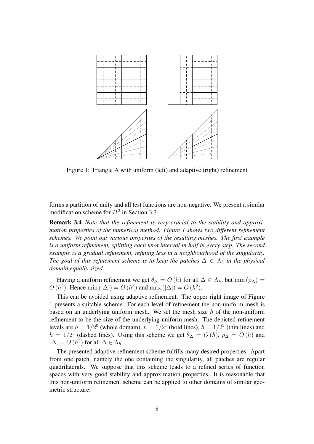

Figure 1: Triangle A with uniform (left) and adaptive (right) refinement

forms a partition of unity and all test functions are non-negative. We present a similar modification scheme for  $H^2$  in Section 3.3.

**Remark 3.4** *Note that the refinement is very crucial to the stability and approximation properties of the numerical method. Figure 1 shows two different refinement schemes. We point out various properties of the resulting meshes. The first example is a uniform refinement, splitting each knot interval in half in every step. The second example is a gradual refinement, refining less in a neighbourhood of the singularity. The goal of this refinement scheme is to keep the patches*  $\Delta \in \Lambda_h$  *in the physical domain equally sized.*

Having a uniform refinement we get  $\theta_{\Delta} = O(h)$  for all  $\Delta \in \Lambda_h$ , but min  $(\rho_{\Delta}) =$  $O(h^2)$ . Hence min ( $|\Delta|$ ) =  $O(h^3)$  and max ( $|\Delta|$ ) =  $O(h^2)$ .

This can be avoided using adaptive refinement. The upper right image of Figure 1 presents a suitable scheme. For each level of refinement the non-uniform mesh is based on an underlying uniform mesh. We set the mesh size  $h$  of the non-uniform refinement to be the size of the underlying uniform mesh. The depicted refinement levels are  $h = 1/2^0$  (whole domain),  $h = 1/2^1$  (bold lines),  $h = 1/2^2$  (thin lines) and  $h = 1/2<sup>3</sup>$  (dashed lines). Using this scheme we get  $\theta_{\Delta} = O(h)$ ,  $\rho_{\Delta} = O(h)$  and  $|\Delta| = O(h^2)$  for all  $\Delta \in \Lambda_h$ .

The presented adaptive refinement scheme fulfills many desired properties. Apart from one patch, namely the one containing the singularity, all patches are regular quadrilaterals. We suppose that this scheme leads to a refined series of function spaces with very good stability and approximation properties. It is reasonable that this non-uniform refinement scheme can be applied to other domains of similar geometric structure.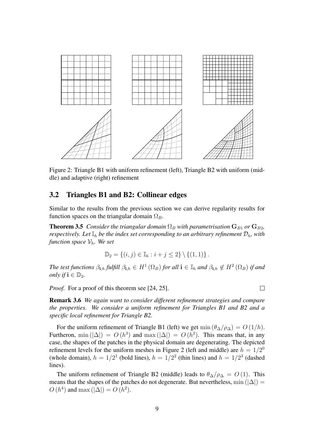

Figure 2: Triangle B1 with uniform refinement (left), Triangle B2 with uniform (middle) and adaptive (right) refinement

#### **3.2 Triangles B1 and B2: Collinear edges**

Similar to the results from the previous section we can derive regularity results for function spaces on the triangular domain  $\Omega_B$ .

**Theorem 3.5** *Consider the triangular domain*  $\Omega_B$  *with parametrisation*  $G_{B1}$  *or*  $G_{B2}$ *, respectively. Let*  $\mathbb{I}_h$  *be the index set corresponding to an arbitrary refinement*  $\mathcal{D}_h$ *, with function space*  $V_h$ *. We set* 

$$
\mathbb{D}_2 = \{(i, j) \in \mathbb{I}_h : i + j \leq 2\} \setminus \{(1, 1)\}.
$$

*The test functions*  $\beta_{i,h}$  *fulfill*  $\beta_{i,h} \in H^1(\Omega_B)$  *for all*  $i \in I_h$  *and*  $\beta_{i,h} \notin H^2(\Omega_B)$  *if and only* if  $\mathbf{i} \in \mathbb{D}_2$ .

*Proof.* For a proof of this theorem see [24, 25].

 $\Box$ 

**Remark 3.6** *We again want to consider different refinement strategies and compare the properties. We consider a uniform refinement for Triangles B1 and B2 and a specific local refinement for Triangle B2.*

For the uniform refinement of Triangle B1 (left) we get  $\min(\theta_{\Delta}/\rho_{\Delta}) = O(1/h)$ . Furtheron,  $\min(|\Delta|) = O(h^3)$  and  $\max(|\Delta|) = O(h^2)$ . This means that, in any case, the shapes of the patches in the physical domain are degenerating. The depicted refinement levels for the uniform meshes in Figure 2 (left and middle) are  $h = 1/2^0$ (whole domain),  $h = 1/2<sup>1</sup>$  (bold lines),  $h = 1/2<sup>2</sup>$  (thin lines) and  $h = 1/2<sup>3</sup>$  (dashed lines).

The uniform refinement of Triangle B2 (middle) leads to  $\theta_{\Delta}/\rho_{\Delta} = O(1)$ . This means that the shapes of the patches do not degenerate. But nevertheless, min ( $|\Delta|$ ) =  $O(h^4)$  and max  $(|\Delta|) = O(h^2)$ .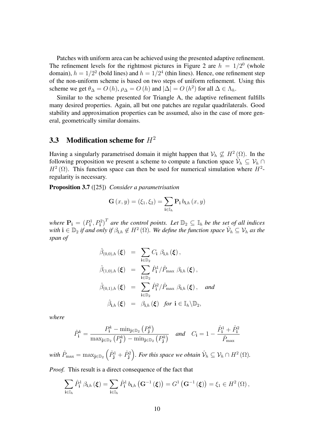Patches with uniform area can be achieved using the presented adaptive refinement. The refinement levels for the rightmost pictures in Figure 2 are  $h = 1/2^0$  (whole domain),  $h = 1/2^2$  (bold lines) and  $h = 1/2^4$  (thin lines). Hence, one refinement step of the non-uniform scheme is based on two steps of uniform refinement. Using this scheme we get  $\theta_{\Delta} = O(h)$ ,  $\rho_{\Delta} = O(h)$  and  $|\Delta| = O(h^2)$  for all  $\Delta \in \Lambda_h$ .

Similar to the scheme presented for Triangle A, the adaptive refinement fulfills many desired properties. Again, all but one patches are regular quadrilaterals. Good stability and approximation properties can be assumed, also in the case of more general, geometrically similar domains.

### **3.3 Modification scheme for** H<sup>2</sup>

Having a singularly parametrised domain it might happen that  $\mathcal{V}_h \nsubseteq H^2(\Omega)$ . In the following proposition we present a scheme to compute a function space  $\hat{V}_h \subseteq V_h \cap$  $H^2(\Omega)$ . This function space can then be used for numerical simulation where  $H^2$ regularity is necessary.

**Proposition 3.7** ([25]) *Consider a parametrisation*

$$
\mathbf{G}(x,y) = (\xi_1, \xi_2) = \sum_{\mathbf{i} \in \mathbb{I}_h} \mathbf{P}_{\mathbf{i}} b_{\mathbf{i},h}(x,y)
$$

*where*  $\mathbf{P_i} = (P_i^1, P_i^2)^T$  *are the control points. Let*  $\mathbb{D}_2 \subseteq \mathbb{I}_h$  *be the set of all indices* with  $\mathbf{i} \in \mathbb{D}_2$  if and only if  $\beta_{\mathbf{i},h} \notin H^2(\Omega)$ . We define the function space  $\hat{\mathcal{V}}_h \subseteq \mathcal{V}_h$  as the *span of*

$$
\hat{\beta}_{(0,0),h}(\xi) = \sum_{\mathbf{i}\in\mathbb{D}_2} C_{\mathbf{i}} \beta_{\mathbf{i},h}(\xi), \n\hat{\beta}_{(1,0),h}(\xi) = \sum_{\mathbf{i}\in\mathbb{D}_2} \hat{P}_{\mathbf{i}}^1 / \hat{P}_{\text{max}} \beta_{\mathbf{i},h}(\xi), \n\hat{\beta}_{(0,1),h}(\xi) = \sum_{\mathbf{i}\in\mathbb{D}_2} \hat{P}_{\mathbf{i}}^2 / \hat{P}_{\text{max}} \beta_{\mathbf{i},h}(\xi), \text{ and} \n\hat{\beta}_{\mathbf{i},h}(\xi) = \beta_{\mathbf{i},h}(\xi) \text{ for } \mathbf{i}\in\mathbb{I}_h\backslash\mathbb{D}_2,
$$

*where*

$$
\hat{P}_{\mathbf{i}}^{k} = \frac{P_{\mathbf{i}}^{k} - \min_{\mathbf{j} \in \mathbb{D}_{2}} (P_{\mathbf{j}}^{k})}{\max_{\mathbf{j} \in \mathbb{D}_{2}} (P_{\mathbf{j}}^{k}) - \min_{\mathbf{j} \in \mathbb{D}_{2}} (P_{\mathbf{j}}^{k})} \quad \text{and} \quad C_{\mathbf{i}} = 1 - \frac{\hat{P}_{\mathbf{i}}^{1} + \hat{P}_{\mathbf{i}}^{2}}{\hat{P}_{\max}}
$$

with  $\hat{P}_{\text{max}} = \max_{\mathbf{j} \in \mathbb{D}_2} \left( \hat{P}_{\mathbf{j}}^1 + \hat{P}_{\mathbf{j}}^2 \right)$ *. For this space we obtain*  $\hat{\mathcal{V}}_h \subseteq \mathcal{V}_h \cap H^2\left( \Omega \right)$ *.* 

*Proof.* This result is a direct consequence of the fact that

$$
\sum_{\mathbf{i}\in\mathbb{I}_h}\hat{P}_{\mathbf{i}}^1\,\beta_{\mathbf{i},h}\left(\boldsymbol{\xi}\right)=\sum_{\mathbf{i}\in\mathbb{I}_h}\hat{P}_{\mathbf{i}}^1\,b_{\mathbf{i},h}\left(\mathbf{G}^{-1}\left(\boldsymbol{\xi}\right)\right)=G^1\left(\mathbf{G}^{-1}\left(\boldsymbol{\xi}\right)\right)=\xi_1\in H^2\left(\Omega\right),
$$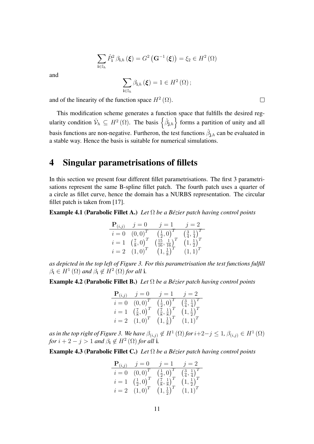$$
\sum_{\mathbf{i}\in\mathbb{I}_h}\hat{P}_{\mathbf{i}}^2\,\beta_{\mathbf{i},h}\left(\boldsymbol{\xi}\right)=G^2\left(\mathbf{G}^{-1}\left(\boldsymbol{\xi}\right)\right)=\xi_2\in H^2\left(\Omega\right)
$$

and

$$
\sum_{\mathbf{i}\in\mathbb{I}_h}\beta_{\mathbf{i},h}(\boldsymbol{\xi})=1\in H^2(\Omega)\,;
$$

and of the linearity of the function space  $H^2(\Omega)$ .

This modification scheme generates a function space that fulfills the desired regularity condition  $\hat{\mathcal{V}}_h \subseteq H^2(\Omega)$ . The basis  $\left\{\hat{\beta}_{\mathbf{j},h}\right\}$  forms a partition of unity and all basis functions are non-negative. Furtheron, the test functions  $\hat{\beta}_{j,h}$  can be evaluated in a stable way. Hence the basis is suitable for numerical simulations.

### **4 Singular parametrisations of fillets**

In this section we present four different fillet parametrisations. The first 3 parametrisations represent the same B-spline fillet patch. The fourth patch uses a quarter of a circle as fillet curve, hence the domain has a NURBS representation. The circular fillet patch is taken from [17].

**Example 4.1 (Parabolic Fillet A.)** *Let*  $\Omega$  *be a Bézier patch having control points* 

$$
\begin{array}{ll}\n\mathbf{P}_{(i,j)} & j = 0 & j = 1 & j = 2 \\
\hline\n i = 0 & (0,0)^T & \left(\frac{1}{2},0\right)^T & \left(\frac{3}{4},\frac{1}{4}\right)^T \\
i = 1 & \left(\frac{7}{8},0\right)^T & \left(\frac{15}{16},\frac{1}{16}\right)^T & \left(1,\frac{1}{2}\right)^T \\
i = 2 & (1,0)^T & \left(1,\frac{1}{8}\right)^T & (1,1)^T\n\end{array}
$$

*as depicted in the top left of Figure 3. For this parametrisation the test functions fulfill*  $\beta_i \in H^1(\Omega)$  and  $\beta_i \notin H^2(\Omega)$  for all **i**.

**Example 4.2 (Parabolic Fillet B.)** *Let*  $\Omega$  *be a Bézier patch having control points* 

|       | $\mathbf{P}_{(i,j)}$ $j=0$     | $j=1$                                    | $i=2$                                    |
|-------|--------------------------------|------------------------------------------|------------------------------------------|
| $i=0$ | $(0,0)^{T}$                    | $(\frac{1}{2},0)^{T}$                    | $\left(\frac{3}{4},\frac{1}{4}\right)^T$ |
| $i=1$ | $\left(\frac{7}{8},0\right)^T$ | $\left(\frac{7}{8},\frac{1}{8}\right)^T$ | $\left(1,\frac{1}{2}\right)^{T}$         |
| $i=2$ | $(1,0)^{T}$                    | $\left(1,\frac{1}{8}\right)^{T}$         | $(1,1)^{T}$                              |

as in the top right of Figure 3. We have  $\beta_{(i,j)} \notin H^1(\Omega)$  for  $i+2-j \leq 1$ ,  $\beta_{(i,j)} \in H^1(\Omega)$ *for*  $i + 2 - j > 1$  *and*  $\beta_i \notin H^2(\Omega)$  *for all* **i**.

**Example 4.3 (Parabolic Fillet C.)** *Let*  $\Omega$  *be a Bézier patch having control points* 

 $\overline{a}$ 

|       | $\mathbf{P}_{(i,j)}$ $j=0$              | $j=1$                                    | $i=2$                                    |
|-------|-----------------------------------------|------------------------------------------|------------------------------------------|
| $i=0$ | $(0,0)^{T}$                             | $(\frac{1}{2},0)^{T}$                    | $\left(\frac{3}{4},\frac{1}{4}\right)^T$ |
|       | $i = 1 \left( \frac{1}{2}, 0 \right)^T$ | $\left(\frac{7}{8},\frac{1}{8}\right)^T$ | $\left(1,\frac{1}{2}\right)^{T}$         |
| $i=2$ | $(1,0)^{T}$                             | $\left(1,\frac{1}{2}\right)^{T}$         | $(1,1)^{T}$                              |

 $\Box$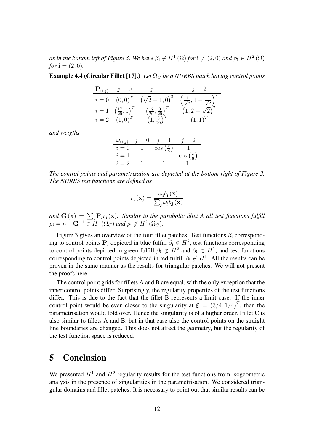*as in the bottom left of Figure 3. We have*  $\beta_i \notin H^1(\Omega)$  *for*  $i \neq (2,0)$  *and*  $\beta_i \in H^2(\Omega)$ *for*  $i = (2, 0)$ *.* 

**Example 4.4** (**Circular Fillet [17].**) *Let*  $\Omega_C$  *be a NURBS patch having control points* 

$$
\begin{array}{ll}\n\mathbf{P}_{(i,j)} & j = 0 & j = 1 & j = 2 \\
\hline\n i = 0 & (0,0)^T & (\sqrt{2} - 1,0)^T & \left(\frac{1}{\sqrt{2}}, 1 - \frac{1}{\sqrt{2}}\right)^T \\
i = 1 & \left(\frac{17}{20}, 0\right)^T & \left(\frac{17}{20}, \frac{3}{20}\right)^T & (1, 2 - \sqrt{2})^T \\
i = 2 & (1,0)^T & (1, \frac{3}{20})^T & (1,1)^T\n\end{array}
$$

*and weigths*

$$
\begin{array}{cccc}\n\omega_{(i,j)} & j = 0 & j = 1 & j = 2\\
\hline\ni = 0 & 1 & \cos\left(\frac{\pi}{8}\right) & 1\\
\hline\ni = 1 & 1 & 1 & \cos\left(\frac{\pi}{8}\right)\\
\hline\ni = 2 & 1 & 1 & 1.\n\end{array}
$$

*The control points and parametrisation are depicted at the bottom right of Figure 3. The NURBS test functions are defined as*

$$
r_{\mathbf{i}}\left(\mathbf{x}\right) = \frac{\omega_{\mathbf{i}}b_{\mathbf{i}}\left(\mathbf{x}\right)}{\sum_{\mathbf{j}}\omega_{\mathbf{j}}b_{\mathbf{j}}\left(\mathbf{x}\right)}
$$

and  $G(x) = \sum_i P_i r_i(x)$ . Similar to the parabolic fillet A all test functions fulfill  $\rho_{\mathbf{i}} = r_{\mathbf{i}} \circ \mathbf{G}^{-1} \in H^1(\Omega_C)$  and  $\rho_{\mathbf{i}} \notin H^2(\Omega_C)$ .

Figure 3 gives an overview of the four fillet patches. Test functions  $\beta_i$  corresponding to control points  $P_i$  depicted in blue fulfill  $\beta_i \in H^2$ , test functions corresponding to control points depicted in green fulfill  $\beta_i \notin H^2$  and  $\beta_i \in H^1$ ; and test functions corresponding to control points depicted in red fulfill  $\beta_i \notin H^1$ . All the results can be proven in the same manner as the results for triangular patches. We will not present the proofs here.

The control point grids for fillets A and B are equal, with the only exception that the inner control points differ. Surprisingly, the regularity properties of the test functions differ. This is due to the fact that the fillet B represents a limit case. If the inner control point would be even closer to the singularity at  $\boldsymbol{\xi} = (3/4, 1/4)^T$ , then the parametrisation would fold over. Hence the singularity is of a higher order. Fillet C is also similar to fillets A and B, but in that case also the control points on the straight line boundaries are changed. This does not affect the geometry, but the regularity of the test function space is reduced.

## **5 Conclusion**

We presented  $H^1$  and  $H^2$  regularity results for the test functions from isogeometric analysis in the presence of singularities in the parametrisation. We considered triangular domains and fillet patches. It is necessary to point out that similar results can be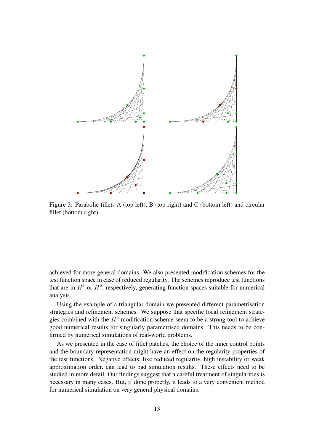

Figure 3: Parabolic fillets A (top left), B (top right) and C (bottom left) and circular fillet (bottom right)

achieved for more general domains. We also presented modification schemes for the test function space in case of reduced regularity. The schemes reproduce test functions that are in  $H^1$  or  $H^2$ , respectively, generating function spaces suitable for numerical analysis.

Using the example of a triangular domain we presented different parametrisation strategies and refinement schemes. We suppose that specific local refinement strategies combined with the  $H^2$  modification scheme seem to be a strong tool to achieve good numerical results for singularly parametrised domains. This needs to be confirmed by numerical simulations of real-world problems.

As we presented in the case of fillet patches, the choice of the inner control points and the boundary representation might have an effect on the regularity properties of the test functions. Negative effects, like reduced regularity, high instability or weak approximation order, can lead to bad simulation results. These effects need to be studied in more detail. Our findings suggest that a careful treatment of singularities is necessary in many cases. But, if done properly, it leads to a very convenient method for numerical simulation on very general physical domains.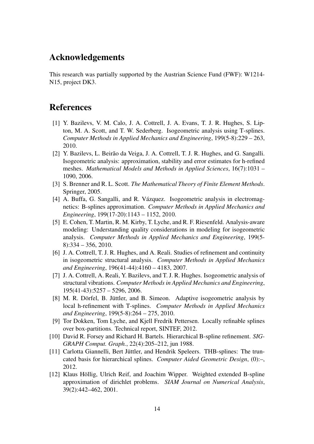### **Acknowledgements**

This research was partially supported by the Austrian Science Fund (FWF): W1214- N15, project DK3.

### **References**

- [1] Y. Bazilevs, V. M. Calo, J. A. Cottrell, J. A. Evans, T. J. R. Hughes, S. Lipton, M. A. Scott, and T. W. Sederberg. Isogeometric analysis using T-splines. *Computer Methods in Applied Mechanics and Engineering*, 199(5-8):229 – 263, 2010.
- [2] Y. Bazilevs, L. Beirão da Veiga, J. A. Cottrell, T. J. R. Hughes, and G. Sangalli. Isogeometric analysis: approximation, stability and error estimates for h-refined meshes. *Mathematical Models and Methods in Applied Sciences*, 16(7):1031 – 1090, 2006.
- [3] S. Brenner and R. L. Scott. *The Mathematical Theory of Finite Element Methods*. Springer, 2005.
- [4] A. Buffa, G. Sangalli, and R. Vázquez. Isogeometric analysis in electromagnetics: B-splines approximation. *Computer Methods in Applied Mechanics and Engineering*, 199(17-20):1143 – 1152, 2010.
- [5] E. Cohen, T. Martin, R. M. Kirby, T. Lyche, and R. F. Riesenfeld. Analysis-aware modeling: Understanding quality considerations in modeling for isogeometric analysis. *Computer Methods in Applied Mechanics and Engineering*, 199(5- 8):334 – 356, 2010.
- [6] J. A. Cottrell, T. J. R. Hughes, and A. Reali. Studies of refinement and continuity in isogeometric structural analysis. *Computer Methods in Applied Mechanics and Engineering*, 196(41-44):4160 – 4183, 2007.
- [7] J. A. Cottrell, A. Reali, Y. Bazilevs, and T. J. R. Hughes. Isogeometric analysis of structural vibrations. *Computer Methods in Applied Mechanics and Engineering*, 195(41-43):5257 – 5296, 2006.
- [8] M. R. Dörfel, B. Jüttler, and B. Simeon. Adaptive isogeometric analysis by local h-refinement with T-splines. *Computer Methods in Applied Mechanics and Engineering*, 199(5-8):264 – 275, 2010.
- [9] Tor Dokken, Tom Lyche, and Kjell Fredrik Pettersen. Locally refinable splines over box-partitions. Technical report, SINTEF, 2012.
- [10] David R. Forsey and Richard H. Bartels. Hierarchical B-spline refinement. *SIG-GRAPH Comput. Graph.*, 22(4):205–212, jun 1988.
- [11] Carlotta Giannelli, Bert Jüttler, and Hendrik Speleers. THB-splines: The truncated basis for hierarchical splines. *Computer Aided Geometric Design*, (0):–, 2012.
- [12] Klaus Höllig, Ulrich Reif, and Joachim Wipper. Weighted extended B-spline approximation of dirichlet problems. *SIAM Journal on Numerical Analysis*, 39(2):442–462, 2001.